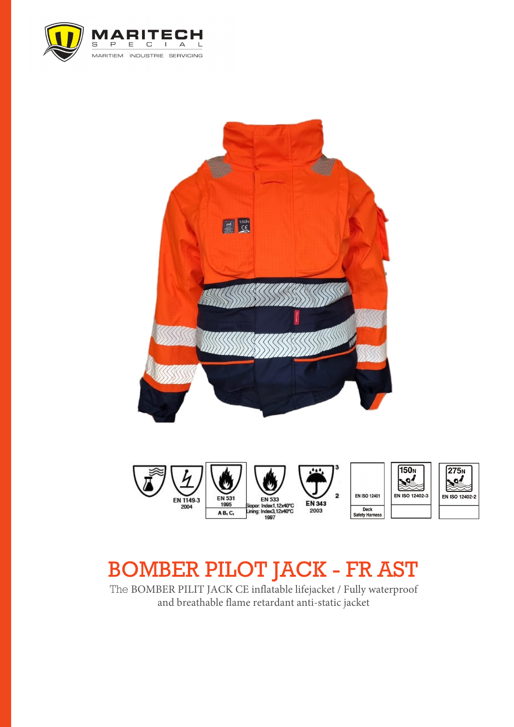



# BOMBER PILOT JACK - FR AST

The BOMBER PILIT JACK CE inflatable lifejacket / Fully waterproof and breathable flame retardant anti-static jacket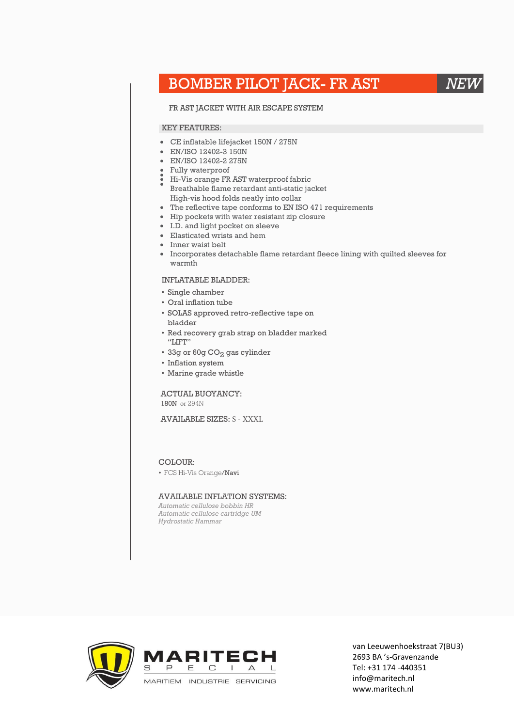## BOMBER PILOT JACK- FR AST *NEW*

#### FR AST JACKET WITH AIR ESCAPE SYSTEM

#### KEY FEATURES:

- CE inflatable lifejacket 150N / 275N
- EN/ISO 12402-3 150N
- EN/ISO 12402-2 275N
- • Fully waterproof
- • Hi-Vis orange FR AST waterproof fabric
- Breathable flame retardant anti-static jacket High-vis hood folds neatly into collar
- The reflective tape conforms to EN ISO 471 requirements
- Hip pockets with water resistant zip closure
- I.D. and light pocket on sleeve
- Elasticated wrists and hem
- Inner waist belt
- Incorporates detachable flame retardant fleece lining with quilted sleeves for warmth

#### INFLATABLE BLADDER:

- Single chamber
- Oral inflation tube
- SOLAS approved retro-reflective tape on bladder
- Red recovery grab strap on bladder marked "LIFT"
- $\bullet$  33g or 60g CO $_2$  gas cylinder
- Inflation system
- Marine grade whistle

#### ACTUAL BUOYANCY: 180N or 294N

### AVAILABLE SIZES: S - XXXL

#### COLOUR:

• FCS Hi-Vis Orange/Navi

#### AVAILABLE INFLATION SYSTEMS:

*Automatic cellulose bobbin HR Automatic cellulose cartridge UM Hydrostatic Hammar*



van Leeuwenhoekstraat 7(BU3) 2693 BA 's-Gravenzande Tel: +31 174 -440351 info@maritech.nl www.maritech.nl